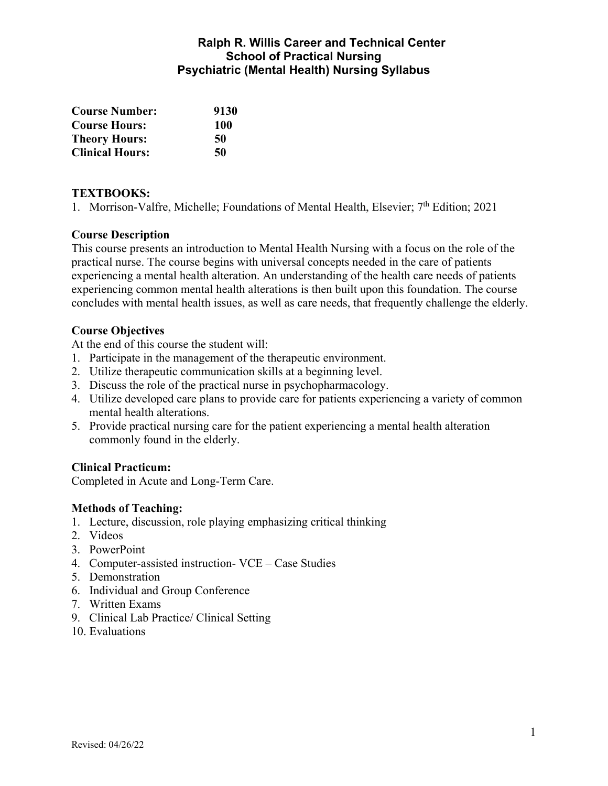## **Ralph R. Willis Career and Technical Center School of Practical Nursing Psychiatric (Mental Health) Nursing Syllabus**

| <b>Course Number:</b>  | 9130 |
|------------------------|------|
| <b>Course Hours:</b>   | 100  |
| <b>Theory Hours:</b>   | 50   |
| <b>Clinical Hours:</b> | 50   |

#### **TEXTBOOKS:**

1. Morrison-Valfre, Michelle; Foundations of Mental Health, Elsevier; 7<sup>th</sup> Edition; 2021

#### **Course Description**

This course presents an introduction to Mental Health Nursing with a focus on the role of the practical nurse. The course begins with universal concepts needed in the care of patients experiencing a mental health alteration. An understanding of the health care needs of patients experiencing common mental health alterations is then built upon this foundation. The course concludes with mental health issues, as well as care needs, that frequently challenge the elderly.

#### **Course Objectives**

At the end of this course the student will:

- 1. Participate in the management of the therapeutic environment.
- 2. Utilize therapeutic communication skills at a beginning level.
- 3. Discuss the role of the practical nurse in psychopharmacology.
- 4. Utilize developed care plans to provide care for patients experiencing a variety of common mental health alterations.
- 5. Provide practical nursing care for the patient experiencing a mental health alteration commonly found in the elderly.

### **Clinical Practicum:**

Completed in Acute and Long-Term Care.

#### **Methods of Teaching:**

- 1. Lecture, discussion, role playing emphasizing critical thinking
- 2. Videos
- 3. PowerPoint
- 4. Computer-assisted instruction- VCE Case Studies
- 5. Demonstration
- 6. Individual and Group Conference
- 7. Written Exams
- 9. Clinical Lab Practice/ Clinical Setting
- 10. Evaluations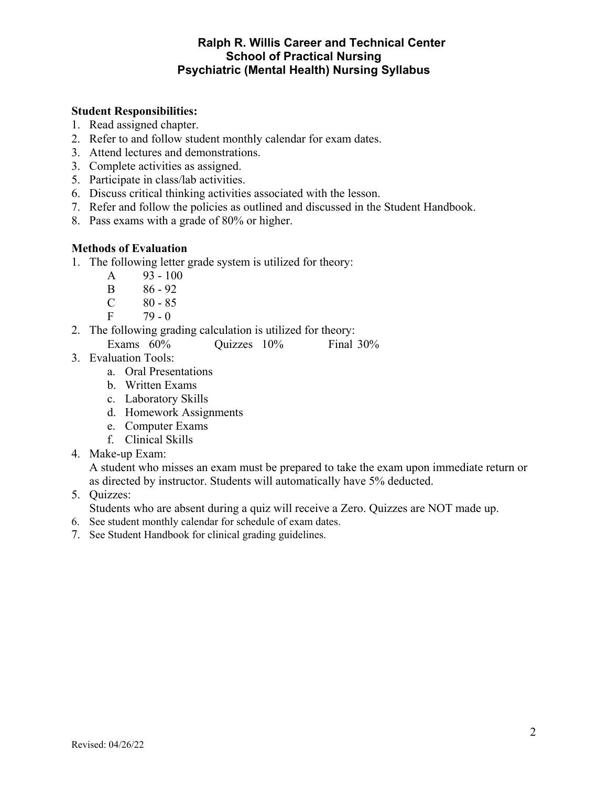## **Ralph R. Willis Career and Technical Center School of Practical Nursing Psychiatric (Mental Health) Nursing Syllabus**

#### **Student Responsibilities:**

- 1. Read assigned chapter.
- 2. Refer to and follow student monthly calendar for exam dates.
- 3. Attend lectures and demonstrations.
- 3. Complete activities as assigned.
- 5. Participate in class/lab activities.
- 6. Discuss critical thinking activities associated with the lesson.
- 7. Refer and follow the policies as outlined and discussed in the Student Handbook.
- 8. Pass exams with a grade of 80% or higher.

#### **Methods of Evaluation**

- 1. The following letter grade system is utilized for theory:
	- A 93 100
	- B 86 92
	- $C \t 80 85$
	- $F = 79 0$
- 2. The following grading calculation is utilized for theory:
	- Exams 60% Quizzes 10% Final 30%
- 3. Evaluation Tools:
	- a. Oral Presentations
	- b. Written Exams
	- c. Laboratory Skills
	- d. Homework Assignments
	- e. Computer Exams
	- f. Clinical Skills
- 4. Make-up Exam:

A student who misses an exam must be prepared to take the exam upon immediate return or as directed by instructor. Students will automatically have 5% deducted.

5. Quizzes:

Students who are absent during a quiz will receive a Zero. Quizzes are NOT made up.

- 6. See student monthly calendar for schedule of exam dates.
- 7. See Student Handbook for clinical grading guidelines.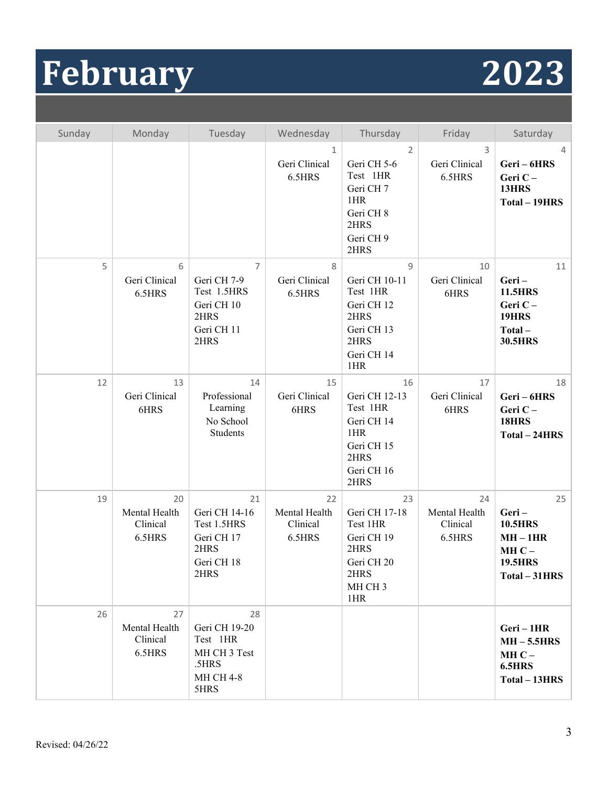## **February 2023**

| Sunday | Monday                                    | Tuesday                                                                                  | Wednesday                                 | Thursday                                                                                                     | Friday                                    | Saturday                                                                                |
|--------|-------------------------------------------|------------------------------------------------------------------------------------------|-------------------------------------------|--------------------------------------------------------------------------------------------------------------|-------------------------------------------|-----------------------------------------------------------------------------------------|
|        |                                           |                                                                                          | 1<br>Geri Clinical<br>6.5HRS              | 2<br>Geri CH 5-6<br>Test 1HR<br>Geri CH 7<br>1HR<br>Geri CH 8<br>2HRS<br>Geri CH 9<br>2HRS                   | 3<br>Geri Clinical<br>6.5HRS              | 4<br>Geri-6HRS<br>Geri C-<br>13HRS<br>Total - 19HRS                                     |
| 5      | 6<br>Geri Clinical<br>6.5HRS              | $\overline{7}$<br>Geri CH 7-9<br>Test 1.5HRS<br>Geri CH 10<br>2HRS<br>Geri CH 11<br>2HRS | 8<br>Geri Clinical<br>6.5HRS              | $\overline{9}$<br>Geri CH 10-11<br>Test 1HR<br>Geri CH 12<br>2HRS<br>Geri CH 13<br>2HRS<br>Geri CH 14<br>1HR | 10<br>Geri Clinical<br>6HRS               | 11<br>Geri-<br><b>11.5HRS</b><br>Geri C-<br><b>19HRS</b><br>Total-<br><b>30.5HRS</b>    |
| 12     | 13<br>Geri Clinical<br>6HRS               | 14<br>Professional<br>Learning<br>No School<br>Students                                  | 15<br>Geri Clinical<br>6HRS               | 16<br>Geri CH 12-13<br>Test 1HR<br>Geri CH 14<br>1HR<br>Geri CH 15<br>2HRS<br>Geri CH 16<br>2HRS             | 17<br>Geri Clinical<br>6HRS               | 18<br>Geri-6HRS<br>Geri C-<br><b>18HRS</b><br>Total - 24HRS                             |
| 19     | 20<br>Mental Health<br>Clinical<br>6.5HRS | 21<br>Geri CH 14-16<br>Test 1.5HRS<br>Geri CH 17<br>2HRS<br>Geri CH 18<br>2HRS           | 22<br>Mental Health<br>Clinical<br>6.5HRS | 23<br>Geri CH 17-18<br>Test 1HR<br>Geri CH 19<br>2HRS<br>Geri CH 20<br>2HRS<br>MH CH <sub>3</sub><br>1HR     | 24<br>Mental Health<br>Clinical<br>6.5HRS | 25<br>Geri-<br><b>10.5HRS</b><br>$MH-1HR$<br>$MHC -$<br><b>19.5HRS</b><br>Total - 31HRS |
| 26     | 27<br>Mental Health<br>Clinical<br>6.5HRS | 28<br>Geri CH 19-20<br>Test 1HR<br>MH CH 3 Test<br>.5HRS<br><b>MH CH 4-8</b><br>5HRS     |                                           |                                                                                                              |                                           | Geri-1HR<br>$MH-5.5HRS$<br>$MHC -$<br>6.5HRS<br>Total - 13HRS                           |